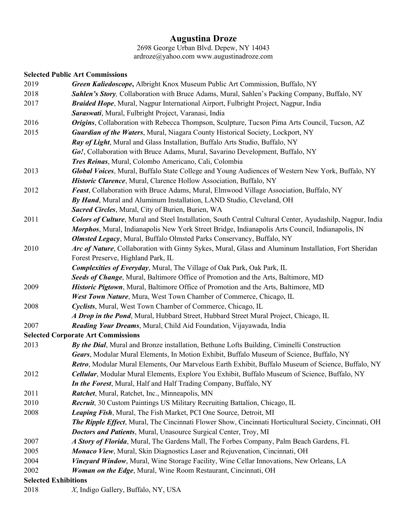## **Augustina Droze**

2698 George Urban Blvd. Depew, NY 14043 ardroze@yahoo.com www.augustinadroze.com

## **Selected Public Art Commissions**

| 2019 | Green Kaliedoscope, Albright Knox Museum Public Art Commission, Buffalo, NY                                       |
|------|-------------------------------------------------------------------------------------------------------------------|
| 2018 | Sahlen's Story, Collaboration with Bruce Adams, Mural, Sahlen's Packing Company, Buffalo, NY                      |
| 2017 | Braided Hope, Mural, Nagpur International Airport, Fulbright Project, Nagpur, India                               |
|      | Saraswati, Mural, Fulbright Project, Varanasi, India                                                              |
| 2016 | Origins, Collaboration with Rebecca Thompson, Sculpture, Tucson Pima Arts Council, Tucson, AZ                     |
| 2015 | Guardian of the Waters, Mural, Niagara County Historical Society, Lockport, NY                                    |
|      | Ray of Light, Mural and Glass Installation, Buffalo Arts Studio, Buffalo, NY                                      |
|      | Go!, Collaboration with Bruce Adams, Mural, Savarino Development, Buffalo, NY                                     |
|      | Tres Reinas, Mural, Colombo Americano, Cali, Colombia                                                             |
| 2013 | Global Voices, Mural, Buffalo State College and Young Audiences of Western New York, Buffalo, NY                  |
|      | Historic Clarence, Mural, Clarence Hollow Association, Buffalo, NY                                                |
| 2012 | <b>Feast, Collaboration with Bruce Adams, Mural, Elmwood Village Association, Buffalo, NY</b>                     |
|      | By Hand, Mural and Aluminum Installation, LAND Studio, Cleveland, OH                                              |
|      | Sacred Circles, Mural, City of Burien, Burien, WA                                                                 |
| 2011 | <b>Colors of Culture</b> , Mural and Steel Installation, South Central Cultural Center, Ayudashilp, Nagpur, India |
|      | <i>Morphos</i> , Mural, Indianapolis New York Street Bridge, Indianapolis Arts Council, Indianapolis, IN          |
|      | Olmsted Legacy, Mural, Buffalo Olmsted Parks Conservancy, Buffalo, NY                                             |
| 2010 | Arc of Nature, Collaboration with Ginny Sykes, Mural, Glass and Aluminum Installation, Fort Sheridan              |
|      | Forest Preserve, Highland Park, IL                                                                                |
|      | Complexities of Everyday, Mural, The Village of Oak Park, Oak Park, IL                                            |
|      | Seeds of Change, Mural, Baltimore Office of Promotion and the Arts, Baltimore, MD                                 |
| 2009 | Historic Pigtown, Mural, Baltimore Office of Promotion and the Arts, Baltimore, MD                                |
|      | West Town Nature, Mura, West Town Chamber of Commerce, Chicago, IL                                                |
| 2008 | Cyclists, Mural, West Town Chamber of Commerce, Chicago, IL                                                       |
|      | A Drop in the Pond, Mural, Hubbard Street, Hubbard Street Mural Project, Chicago, IL                              |
| 2007 | <b>Reading Your Dreams</b> , Mural, Child Aid Foundation, Vijayawada, India                                       |
|      | <b>Selected Corporate Art Commissions</b>                                                                         |
| 2013 | By the Dial, Mural and Bronze installation, Bethune Lofts Building, Ciminelli Construction                        |
|      | Gears, Modular Mural Elements, In Motion Exhibit, Buffalo Museum of Science, Buffalo, NY                          |
|      | Retro, Modular Mural Elements, Our Marvelous Earth Exhibit, Buffalo Museum of Science, Buffalo, NY                |
| 2012 | Cellular, Modular Mural Elements, Explore You Exhibit, Buffalo Museum of Science, Buffalo, NY                     |
|      | In the Forest, Mural, Half and Half Trading Company, Buffalo, NY                                                  |
| 2011 | Ratchet, Mural, Ratchet, Inc., Minneapolis, MN                                                                    |
| 2010 | Recruit, 30 Custom Paintings US Military Recruiting Battalion, Chicago, IL                                        |
| 2008 | Leaping Fish, Mural, The Fish Market, PCI One Source, Detroit, MI                                                 |
|      | The Ripple Effect, Mural, The Cincinnati Flower Show, Cincinnati Horticultural Society, Cincinnati, OH            |
|      | Doctors and Patients, Mural, Unasource Surgical Center, Troy, MI                                                  |
| 2007 | A Story of Florida, Mural, The Gardens Mall, The Forbes Company, Palm Beach Gardens, FL                           |
| 2005 | Monaco View, Mural, Skin Diagnostics Laser and Rejuvenation, Cincinnati, OH                                       |
| 2004 | Vineyard Window, Mural, Wine Storage Facility, Wine Cellar Innovations, New Orleans, LA                           |
| 2002 | Woman on the Edge, Mural, Wine Room Restaurant, Cincinnati, OH                                                    |
|      | <b>Selected Exhibitions</b>                                                                                       |
|      |                                                                                                                   |

2018 *X*, Indigo Gallery, Buffalo, NY, USA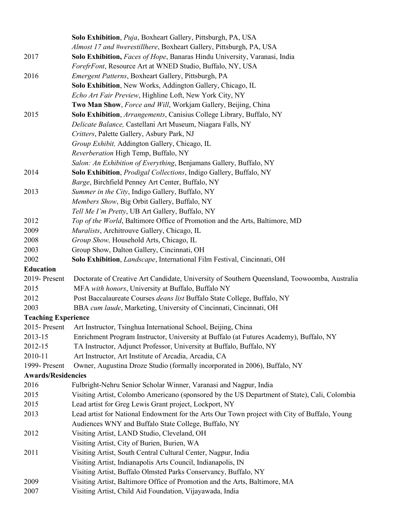|                                            | Solo Exhibition, Puja, Boxheart Gallery, Pittsburgh, PA, USA                                                                                                      |
|--------------------------------------------|-------------------------------------------------------------------------------------------------------------------------------------------------------------------|
|                                            | Almost 17 and #werestillhere, Boxheart Gallery, Pittsburgh, PA, USA                                                                                               |
| 2017                                       | Solo Exhibition, Faces of Hope, Banaras Hindu University, Varanasi, India                                                                                         |
|                                            | ForefrFont, Resource Art at WNED Studio, Buffalo, NY, USA                                                                                                         |
| 2016                                       | Emergent Patterns, Boxheart Gallery, Pittsburgh, PA                                                                                                               |
|                                            | Solo Exhibition, New Works, Addington Gallery, Chicago, IL                                                                                                        |
|                                            | Echo Art Fair Preview, Highline Loft, New York City, NY                                                                                                           |
|                                            | Two Man Show, Force and Will, Workjam Gallery, Beijing, China                                                                                                     |
| 2015                                       | Solo Exhibition, Arrangements, Canisius College Library, Buffalo, NY                                                                                              |
|                                            | Delicate Balance, Castellani Art Museum, Niagara Falls, NY                                                                                                        |
|                                            | Critters, Palette Gallery, Asbury Park, NJ                                                                                                                        |
|                                            | Group Exhibit, Addington Gallery, Chicago, IL                                                                                                                     |
|                                            | Reverberation High Temp, Buffalo, NY                                                                                                                              |
|                                            | Salon: An Exhibition of Everything, Benjamans Gallery, Buffalo, NY                                                                                                |
| 2014                                       | Solo Exhibition, Prodigal Collections, Indigo Gallery, Buffalo, NY                                                                                                |
|                                            | Barge, Birchfield Penney Art Center, Buffalo, NY                                                                                                                  |
| 2013                                       | Summer in the City, Indigo Gallery, Buffalo, NY                                                                                                                   |
|                                            | Members Show, Big Orbit Gallery, Buffalo, NY                                                                                                                      |
|                                            | Tell Me I'm Pretty, UB Art Gallery, Buffalo, NY                                                                                                                   |
| 2012                                       | Top of the World, Baltimore Office of Promotion and the Arts, Baltimore, MD                                                                                       |
| 2009                                       | Muralists, Architrouve Gallery, Chicago, IL                                                                                                                       |
| 2008                                       | Group Show, Household Arts, Chicago, IL                                                                                                                           |
| 2003                                       | Group Show, Dalton Gallery, Cincinnati, OH                                                                                                                        |
| 2002                                       | Solo Exhibition, <i>Landscape</i> , International Film Festival, Cincinnati, OH                                                                                   |
| <b>Education</b>                           |                                                                                                                                                                   |
| 2019-Present                               | Doctorate of Creative Art Candidate, University of Southern Queensland, Toowoomba, Australia                                                                      |
| 2015                                       | MFA with honors, University at Buffalo, Buffalo NY                                                                                                                |
| 2012                                       | Post Baccalaureate Courses deans list Buffalo State College, Buffalo, NY                                                                                          |
| 2003                                       | BBA cum laude, Marketing, University of Cincinnati, Cincinnati, OH                                                                                                |
| <b>Teaching Experience</b>                 |                                                                                                                                                                   |
| 2015-Present                               | Art Instructor, Tsinghua International School, Beijing, China                                                                                                     |
| 2013-15                                    | Enrichment Program Instructor, University at Buffalo (at Futures Academy), Buffalo, NY                                                                            |
| 2012-15                                    | TA Instructor, Adjunct Professor, University at Buffalo, Buffalo, NY                                                                                              |
| 2010-11                                    | Art Instructor, Art Institute of Arcadia, Arcadia, CA                                                                                                             |
| 1999- Present<br><b>Awards/Residencies</b> | Owner, Augustina Droze Studio (formally incorporated in 2006), Buffalo, NY                                                                                        |
| 2016                                       |                                                                                                                                                                   |
| 2015                                       | Fulbright-Nehru Senior Scholar Winner, Varanasi and Nagpur, India<br>Visiting Artist, Colombo Americano (sponsored by the US Department of State), Cali, Colombia |
| 2015                                       | Lead artist for Greg Lewis Grant project, Lockport, NY                                                                                                            |
| 2013                                       | Lead artist for National Endowment for the Arts Our Town project with City of Buffalo, Young                                                                      |
|                                            | Audiences WNY and Buffalo State College, Buffalo, NY                                                                                                              |
| 2012                                       | Visiting Artist, LAND Studio, Cleveland, OH                                                                                                                       |
|                                            | Visiting Artist, City of Burien, Burien, WA                                                                                                                       |
| 2011                                       | Visiting Artist, South Central Cultural Center, Nagpur, India                                                                                                     |
|                                            | Visiting Artist, Indianapolis Arts Council, Indianapolis, IN                                                                                                      |
|                                            | Visiting Artist, Buffalo Olmsted Parks Conservancy, Buffalo, NY                                                                                                   |
| 2009                                       | Visiting Artist, Baltimore Office of Promotion and the Arts, Baltimore, MA                                                                                        |
| 2007                                       | Visiting Artist, Child Aid Foundation, Vijayawada, India                                                                                                          |
|                                            |                                                                                                                                                                   |